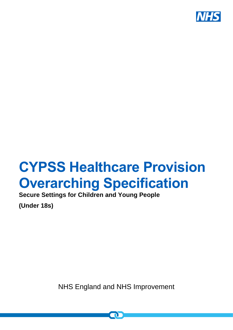

# **CYPSS Healthcare Provision Overarching Specification**

**Secure Settings for Children and Young People** 

**(Under 18s)**

NHS England and NHS Improvement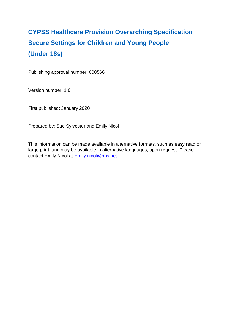## **CYPSS Healthcare Provision Overarching Specification Secure Settings for Children and Young People (Under 18s)**

Publishing approval number: 000566

Version number: 1.0

First published: January 2020

Prepared by: Sue Sylvester and Emily Nicol

This information can be made available in alternative formats, such as easy read or large print, and may be available in alternative languages, upon request. Please contact Emily Nicol at **Emily.nicol@nhs.net.**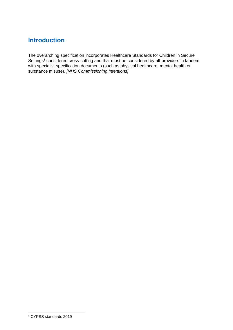## **Introduction**

The overarching specification incorporates Healthcare Standards for Children in Secure Settings<sup>1</sup> considered cross-cutting and that must be considered by all providers in tandem with specialist specification documents (such as physical healthcare, mental health or substance misuse). *[NHS Commissioning Intentions]*

<u>.</u>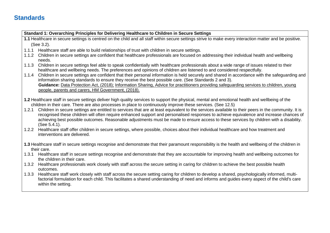### **Standards**

**Standard 1: Overarching Principles for Delivering Healthcare to Children in Secure Settings 1.1** Healthcare in secure settings is centred on the child and all staff within secure settings strive to make every interaction matter and be positive. (See 3.2). 1.1.1 Healthcare staff are able to build relationships of trust with children in secure settings. 1.1.2 Children in secure settings are confident that healthcare professionals are focused on addressing their individual health and wellbeing needs. 1.1.3 Children in secure settings feel able to speak confidentially with healthcare professionals about a wide range of issues related to their healthcare and wellbeing needs. The preferences and opinions of children are listened to and considered respectfully. 1.1.4 Children in secure settings are confident that their personal information is held securely and shared in accordance with the safeguarding and information sharing standards to ensure they receive the best possible care. (See Standards 2 and 3). **Guidance:** [Data Protection Act, \(2018\);](https://www.gov.uk/government/collections/data-protection-act-2018) Information Sharing, Advice for practitioners providing safeguarding services to children, young people, parents and carers, HM Government, (2018). **1.2** Healthcare staff in secure settings deliver high quality services to support the physical, mental and emotional health and wellbeing of the children in their care. There are also processes in place to continuously improve these services. (See 12.5) 1.2.1 Children in secure settings are entitled to services that are at least equivalent to the services available to their peers in the community. It is recognised these children will often require enhanced support and personalised responses to achieve equivalence and increase chances of achieving best possible outcomes. Reasonable adjustments must be made to ensure access to these services by children with a disability. (See 5.4.1). 1.2.2 Healthcare staff offer children in secure settings, where possible, choices about their individual healthcare and how treatment and interventions are delivered. **1.3** Healthcare staff in secure settings recognise and demonstrate that their paramount responsibility is the health and wellbeing of the children in their care. 1.3.1 Healthcare staff in secure settings recognise and demonstrate that they are accountable for improving health and wellbeing outcomes for the children in their care. 1.3.2 Healthcare professionals work closely with staff across the secure setting in caring for children to achieve the best possible health outcomes. 1.3.3 Healthcare staff work closely with staff across the secure setting caring for children to develop a shared, psychologically informed, multifactorial formulation for each child. This facilitates a shared understanding of need and informs and guides every aspect of the child's care within the setting.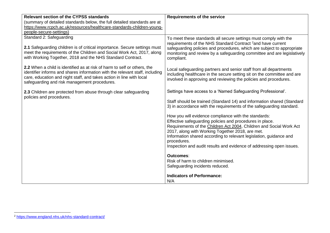| <b>Relevant section of the CYPSS standards</b>                                                                                                                                                                                                                                   | <b>Requirements of the service</b>                                                                                                                                                                                                                                                                                                                                                                       |
|----------------------------------------------------------------------------------------------------------------------------------------------------------------------------------------------------------------------------------------------------------------------------------|----------------------------------------------------------------------------------------------------------------------------------------------------------------------------------------------------------------------------------------------------------------------------------------------------------------------------------------------------------------------------------------------------------|
| (summary of detailed standards below, the full detailed standards are at                                                                                                                                                                                                         |                                                                                                                                                                                                                                                                                                                                                                                                          |
| https://www.rcpch.ac.uk/resources/healthcare-standards-children-young-                                                                                                                                                                                                           |                                                                                                                                                                                                                                                                                                                                                                                                          |
| people-secure-settings)                                                                                                                                                                                                                                                          |                                                                                                                                                                                                                                                                                                                                                                                                          |
| Standard 2: Safeguarding<br>2.1 Safeguarding children is of critical importance. Secure settings must<br>meet the requirements of the Children and Social Work Act, 2017, along<br>with Working Together, 2018 and the NHS Standard Contract.                                    | To meet these standards all secure settings must comply with the<br>requirements of the NHS Standard Contract <sup>2</sup> and have current<br>safeguarding policies and procedures, which are subject to appropriate<br>monitoring and review by a safeguarding committee and are legislatively<br>compliant.                                                                                           |
| 2.2 When a child is identified as at risk of harm to self or others, the<br>identifier informs and shares information with the relevant staff, including<br>care, education and night staff, and takes action in line with local<br>safeguarding and risk management procedures. | Local safeguarding partners and senior staff from all departments<br>including healthcare in the secure setting sit on the committee and are<br>involved in approving and reviewing the policies and procedures.                                                                                                                                                                                         |
| 2.3 Children are protected from abuse through clear safeguarding                                                                                                                                                                                                                 | Settings have access to a 'Named Safeguarding Professional'.                                                                                                                                                                                                                                                                                                                                             |
| policies and procedures.                                                                                                                                                                                                                                                         | Staff should be trained (Standard 14) and information shared (Standard<br>3) in accordance with the requirements of the safeguarding standard.                                                                                                                                                                                                                                                           |
|                                                                                                                                                                                                                                                                                  | How you will evidence compliance with the standards:<br>Effective safeguarding policies and procedures in place.<br>Requirements of the Children Act 2004, Children and Social Work Act<br>2017, along with Working Together 2018, are met.<br>Information shared according to relevant legislation, guidance and<br>procedures.<br>Inspection and audit results and evidence of addressing open issues. |
|                                                                                                                                                                                                                                                                                  | <b>Outcomes:</b>                                                                                                                                                                                                                                                                                                                                                                                         |
|                                                                                                                                                                                                                                                                                  | Risk of harm to children minimised.<br>Safeguarding incidents reduced.                                                                                                                                                                                                                                                                                                                                   |
|                                                                                                                                                                                                                                                                                  | <b>Indicators of Performance:</b><br>N/A                                                                                                                                                                                                                                                                                                                                                                 |

1

<sup>2</sup> <https://www.england.nhs.uk/nhs-standard-contract/>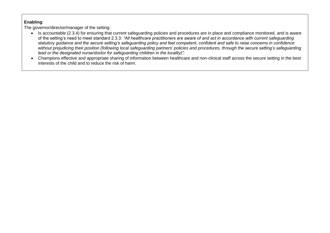- Is accountable (2.3.4) for ensuring that current safeguarding policies and procedures are in place and compliance monitored, and is aware of the setting's need to meet standard 2.3.3: *"All healthcare practitioners are aware of and act in accordance with current safeguarding statutory guidance and the secure setting's safeguarding policy and feel competent, confident and safe to raise concerns in confidence without prejudicing their position (following local safeguarding partners' policies and procedures, through the secure setting's safeguarding lead or the designated nurse/doctor for safeguarding children in the locality)";*
- Champions effective and appropriate sharing of information between healthcare and non-clinical staff across the secure setting in the best interests of the child and to reduce the risk of harm.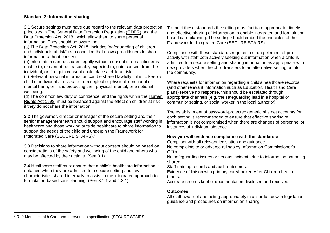| <b>Standard 3: Information sharing</b>                                                                                                                                                                                                                                                                                                                                                                             |                                                                                                                                                                                                                                                                                                                                                  |
|--------------------------------------------------------------------------------------------------------------------------------------------------------------------------------------------------------------------------------------------------------------------------------------------------------------------------------------------------------------------------------------------------------------------|--------------------------------------------------------------------------------------------------------------------------------------------------------------------------------------------------------------------------------------------------------------------------------------------------------------------------------------------------|
|                                                                                                                                                                                                                                                                                                                                                                                                                    |                                                                                                                                                                                                                                                                                                                                                  |
| 3.1 Secure settings must have due regard to the relevant data protection<br>principles in The General Data Protection Regulation (GDPR) and the<br>Data Protection Act, 2018, which allow them to share personal<br>information. They should be aware that:<br>(a) The Data Protection Act, 2018, includes "safeguarding of children                                                                               | To meet these standards the setting must facilitate appropriate, timely<br>and effective sharing of information to enable integrated and formulation-<br>based care planning. The setting should embed the principles of the<br>Framework for Integrated Care (SECURE STAIRS).                                                                   |
| and individuals at risk" as a condition that allows practitioners to share<br>information without consent.<br>(b) Information can be shared legally without consent if a practitioner is<br>unable to, or cannot be reasonably expected to, gain consent from the<br>individual, or if to gain consent could place a child at risk.<br>(c) Relevant personal information can be shared lawfully if it is to keep a | Compliance with these standards requires a strong element of pro-<br>activity with staff both actively seeking out information when a child is<br>admitted to a secure setting and sharing information as appropriate with<br>new providers when the child transfers to an alternative setting or into<br>the community.                         |
| child or individual at risk safe from neglect or physical, emotional or<br>mental harm, or if it is protecting their physical, mental, or emotional<br>wellbeing.<br>(d) The common law duty of confidence, and the rights within the Human<br>Rights Act 1998, must be balanced against the effect on children at risk<br>if they do not share the information.                                                   | Where requests for information regarding a child's healthcare records<br>(and other relevant information such as Education, Health and Care<br>plans) receive no response, this should be escalated through<br>appropriate channels (e.g. the safeguarding lead in a hospital or<br>community setting, or social worker in the local authority). |
| 3.2 The governor, director or manager of the secure setting and their<br>senior management team should support and encourage staff working in<br>healthcare and those working outside healthcare to share information to<br>support the needs of the child and underpin the Framework for                                                                                                                          | The establishment of password-protected generic nhs.net accounts for<br>each setting is recommended to ensure that effective sharing of<br>information is not compromised when there are changes of personnel or<br>instances of individual absence.                                                                                             |
| Integrated Care (SECURE STAIRS). <sup>3</sup>                                                                                                                                                                                                                                                                                                                                                                      | How you will evidence compliance with the standards:                                                                                                                                                                                                                                                                                             |
| 3.3 Decisions to share information without consent should be based on<br>considerations of the safety and wellbeing of the child and others who<br>may be affected by their actions. (See 3.1).                                                                                                                                                                                                                    | Compliant with all relevant legislation and guidance.<br>No complaints to or adverse rulings by Information Commissioner's<br>Office.<br>No safeguarding issues or serious incidents due to information not being<br>shared.                                                                                                                     |
| 3.4 Healthcare staff must ensure that a child's healthcare information is<br>obtained when they are admitted to a secure setting and key<br>characteristics shared internally to assist in the integrated approach to<br>formulation-based care planning. (See 3.1.1 and 4.3.1).                                                                                                                                   | Staff training records and audit outcomes.<br>Evidence of liaison with primary care/Looked After Children health<br>teams.<br>Accurate records kept of documentation disclosed and received.                                                                                                                                                     |
|                                                                                                                                                                                                                                                                                                                                                                                                                    | <b>Outcomes:</b><br>All staff aware of and acting appropriately in accordance with legislation,<br>guidance and procedures on information sharing.                                                                                                                                                                                               |

<sup>1</sup> <sup>3</sup> Ref: Mental Health Care and Intervention specification (SECURE STAIRS)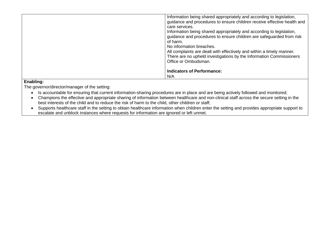| Information being shared appropriately and according to legislation,<br>guidance and procedures to ensure children receive effective health and<br>care services.<br>Information being shared appropriately and according to legislation,<br>guidance and procedures to ensure children are safeguarded from risk<br>of harm.<br>No information breaches.<br>All complaints are dealt with effectively and within a timely manner.<br>There are no upheld investigations by the Information Commissioners<br>Office or Ombudsman. |
|-----------------------------------------------------------------------------------------------------------------------------------------------------------------------------------------------------------------------------------------------------------------------------------------------------------------------------------------------------------------------------------------------------------------------------------------------------------------------------------------------------------------------------------|
| <b>Indicators of Performance:</b><br>N/A                                                                                                                                                                                                                                                                                                                                                                                                                                                                                          |

- Is accountable for ensuring that current information-sharing procedures are in place and are being actively followed and monitored;
- Champions the effective and appropriate sharing of information between healthcare and non-clinical staff across the secure setting in the best interests of the child and to reduce the risk of harm to the child, other children or staff;
- Supports healthcare staff in the setting to obtain healthcare information when children enter the setting and provides appropriate support to escalate and unblock instances where requests for information are ignored or left unmet.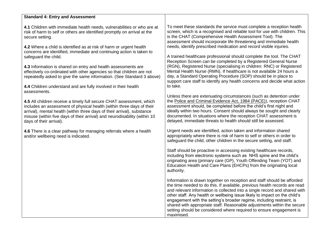#### **Standard 4: Entry and Assessment**

**4.1** Children with immediate health needs, vulnerabilities or who are at risk of harm to self or others are identified promptly on arrival at the secure setting.

**4.2** Where a child is identified as at risk of harm or urgent health concerns are identified, immediate and continuing action is taken to safeguard the child.

**4.3** Information is shared on entry and health assessments are effectively co-ordinated with other agencies so that children are not repeatedly asked to give the same information. (See Standard 3 above)

**4.4** Children understand and are fully involved in their health assessments.

**4.5** All children receive a timely full secure CHAT assessment, which includes an assessment of physical health (within three days of their arrival), mental health (within three days of their arrival), substance misuse (within five days of their arrival) and neurodisability (within 10 days of their arrival).

**4.6** There is a clear pathway for managing referrals where a health and/or wellbeing need is indicated.

To meet these standards the service must complete a reception health screen, which is a recognised and reliable tool for use with children. This is the CHAT (Comprehensive Health Assessment Tool). The assessment should incorporate life threatening and immediate health needs, identify prescribed medication and record visible injuries.

A trained healthcare professional should complete the tool. The CHAT Reception Screen can be completed by a Registered General Nurse (RGN), Registered Nurse (specialising in children: RNC) or Registered Mental Health Nurse (RMN). If healthcare is not available 24 hours a day, a Standard Operating Procedure (SOP) should be in place to support care staff to identify any health concerns and decide what action to take.

Unless there are extenuating circumstances (such as detention under the [Police and Criminal Evidence Act, 1984 \(PACE\)\)](https://www.app.college.police.uk/app-content/detention-and-custody-2/detainee-care/children-and-young-persons/), reception CHAT assessment should, be completed before the child's first night and ideally within two hours. Consent should always be sought and clearly documented. In situations where the reception CHAT assessment is delayed, immediate threats to health should still be assessed.

Urgent needs are identified, action taken and information shared appropriately where there is risk of harm to self or others in order to safeguard the child, other children in the secure setting, and staff.

Staff should be proactive in accessing existing healthcare records, including from electronic systems such as NHS spine and the child's originating area (primary care (GP), Youth Offending Team (YOT) and Education Health and Care Plans (EHCPs) from the originating local authority.

Information is drawn together on reception and staff should be afforded the time needed to do this. If available, previous health records are read and relevant information is collected into a single record and shared with other staff. Any health or wellbeing issue likely to impact on the child's engagement with the setting's broader regime, including restraint, is shared with appropriate staff. Reasonable adjustments within the secure setting should be considered where required to ensure engagement is maximised.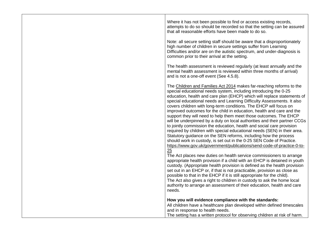Where it has not been possible to find or access existing records, attempts to do so should be recorded so that the setting can be assured that all reasonable efforts have been made to do so.

Note: all secure setting staff should be aware that a disproportionately high number of children in secure settings suffer from Learning Difficulties and/or are on the autistic spectrum, and under-diagnosis is common prior to their arrival at the setting.

The health assessment is reviewed regularly (at least annually and the mental health assessment is reviewed within three months of arrival) and is not a one-off event (See 4.5.8).

The [Children and Families](http://www.legislation.gov.uk/ukpga/2014/6/contents/enacted) Act 2014 makes far-reaching reforms to the special educational needs system, including introducing the 0-25 education, health and care plan (EHCP) which will replace statements of special educational needs and Learning Difficulty Assessments. It also covers children with long-term conditions. The EHCP will focus on improved outcomes for the child in education, health and care and the support they will need to help them meet those outcomes. The EHCP will be underpinned by a duty on local authorities and their partner CCGs to jointly commission the education, health and social care provision required by children with special educational needs (SEN) in their area. Statutory guidance on the SEN reforms, including how the process should work in custody, is set out in the 0-25 SEN Code of Practice. [https://www.gov.uk/government/publications/send-code-of-practice-0-to-](https://www.gov.uk/government/publications/send-code-of-practice-0-to-25)[25](https://www.gov.uk/government/publications/send-code-of-practice-0-to-25)

The Act places new duties on health service commissioners to arrange appropriate health provision if a child with an EHCP is detained in youth custody. (Appropriate health provision is defined as the health provision set out in an EHCP or, if that is not practicable, provision as close as possible to that in the EHCP if it is still appropriate for the child). The Act also gives a right to children in custody to ask the home local authority to arrange an assessment of their education, health and care needs.

#### **How you will evidence compliance with the standards:**

All children have a healthcare plan developed within defined timescales and in response to health needs.

The setting has a written protocol for observing children at risk of harm.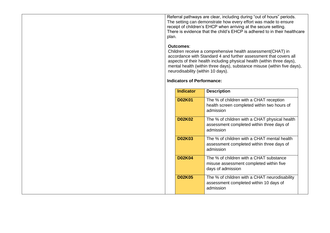Referral pathways are clear, including during "out of hours" periods. The setting can demonstrate how every effort was made to ensure receipt of children's EHCP when arriving at the secure setting. There is evidence that the child's EHCP is adhered to in their healthcare plan.

#### **Outcomes**:

Children receive a comprehensive health assessment(CHAT) in accordance with Standard 4 and further assessment that covers all aspects of their health including physical health (within three days), mental health (within three days), substance misuse (within five days), neurodisability (within 10 days).

#### **Indicators of Performance:**

| <b>Indicator</b> | <b>Description</b>                                                                                      |
|------------------|---------------------------------------------------------------------------------------------------------|
| <b>D02K01</b>    | The % of children with a CHAT reception<br>health screen completed within two hours of<br>admission     |
| <b>D02K02</b>    | The % of children with a CHAT physical health<br>assessment completed within three days of<br>admission |
| <b>D02K03</b>    | The % of children with a CHAT mental health<br>assessment completed within three days of<br>admission   |
| <b>D02K04</b>    | The % of children with a CHAT substance<br>misuse assessment completed within five<br>days of admission |
| <b>D02K05</b>    | The % of children with a CHAT neurodisability<br>assessment completed within 10 days of<br>admission    |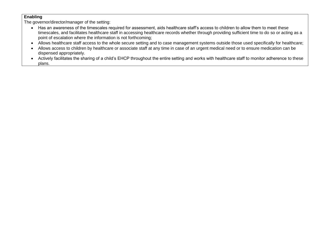- Has an awareness of the timescales required for assessment, aids healthcare staff's access to children to allow them to meet these timescales, and facilitates healthcare staff in accessing healthcare records whether through providing sufficient time to do so or acting as a point of escalation where the information is not forthcoming;
- Allows healthcare staff access to the whole secure setting and to case management systems outside those used specifically for healthcare;
- Allows access to children by healthcare or associate staff at any time in case of an urgent medical need or to ensure medication can be dispensed appropriately.
- Actively facilitates the sharing of a child's EHCP throughout the entire setting and works with healthcare staff to monitor adherence to these plans.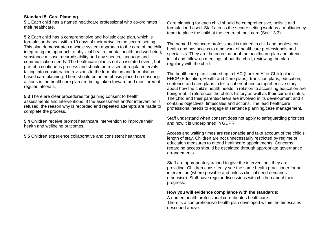| <b>Standard 5: Care Planning</b><br>5.1 Each child has a named healthcare professional who co-ordinates<br>their healthcare.                                                                                                                                                                                                                                                                                                                                                                                                    | Care planning for each child should be comprehensive, holistic and<br>formulation-based. Staff across the secure setting work as a multiagency<br>team to place the child at the centre of their care (See 13.3).                                                                                                        |
|---------------------------------------------------------------------------------------------------------------------------------------------------------------------------------------------------------------------------------------------------------------------------------------------------------------------------------------------------------------------------------------------------------------------------------------------------------------------------------------------------------------------------------|--------------------------------------------------------------------------------------------------------------------------------------------------------------------------------------------------------------------------------------------------------------------------------------------------------------------------|
| 5.2 Each child has a comprehensive and holistic care plan, which is<br>formulation-based, within 10 days of their arrival in the secure setting.<br>This plan demonstrates a whole system approach to the care of the child<br>integrating the approach to physical health, mental health and wellbeing,<br>substance misuse, neurodisability and any speech, language and<br>communication needs. The healthcare plan is not an isolated event, but<br>part of a continuous process and should be revised at regular intervals | The named healthcare professional is trained in child and adolescent<br>health and has access to a network of healthcare professionals and<br>specialists. They are the coordinator of the healthcare plan and attend<br>initial and follow-up meetings about the child, reviewing the plan<br>regularly with the child. |
| taking into consideration revisions to the formulation and formulation<br>based care planning. There should be an emphasis placed on ensuring<br>actions in the healthcare plan are being taken forward and monitored at<br>regular intervals.                                                                                                                                                                                                                                                                                  | The healthcare plan is joined up to LAC (Looked After Child) plans,<br>EHCP (Education, Health and Care plans), transition plans, education,<br>sentence and care plans to tell a coherent and comprehensive story<br>about how the child's health needs in relation to accessing education are                          |
| 5.3 There are clear procedures for gaining consent to health<br>assessments and interventions. If the assessment and/or intervention is<br>refused, the reason why is recorded and repeated attempts are made to<br>complete the process.                                                                                                                                                                                                                                                                                       | being met. It references the child's history as well as their current status.<br>The child and their parents/carers are involved in its development and it<br>contains objectives, timescales and actions. The lead healthcare<br>professional needs to engage in sentence planning/case management.                     |
| 5.4 Children receive prompt healthcare intervention to improve their<br>health and wellbeing outcomes.                                                                                                                                                                                                                                                                                                                                                                                                                          | Staff understand when consent does not apply to safeguarding priorities<br>and how it is underpinned in GDPR.                                                                                                                                                                                                            |
| 5.5 Children experience collaborative and consistent healthcare.                                                                                                                                                                                                                                                                                                                                                                                                                                                                | Access and waiting times are reasonable and take account of the child's<br>length of stay. Children are not unnecessarily restricted by regime or<br>education measures to attend healthcare appointments. Concerns<br>regarding access should be escalated through appropriate governance<br>arrangements.              |
|                                                                                                                                                                                                                                                                                                                                                                                                                                                                                                                                 | Staff are appropriately trained to give the interventions they are<br>providing. Children consistently see the same health practitioner for an<br>intervention (where possible and unless clinical need demands<br>otherwise). Staff have regular discussions with children about their<br>progress.                     |
|                                                                                                                                                                                                                                                                                                                                                                                                                                                                                                                                 | How you will evidence compliance with the standards:<br>A named health professional co-ordinates healthcare.<br>There is a comprehensive health plan developed within the timescales<br>described above.                                                                                                                 |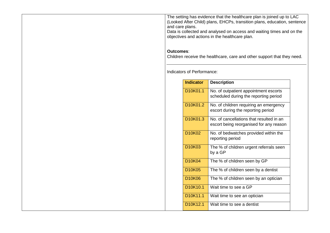The setting has evidence that the healthcare plan is joined up to LAC (Looked After Child) plans, EHCPs, transition plans, education, sentence and care plans.

Data is collected and analysed on access and waiting times and on the objectives and actions in the healthcare plan.

#### **Outcomes**:

Children receive the healthcare, care and other support that they need.

Indicators of Performance:

| <b>Indicator</b>                  | <b>Description</b>                                                                  |
|-----------------------------------|-------------------------------------------------------------------------------------|
| D10K01.1                          | No. of outpatient appointment escorts<br>scheduled during the reporting period      |
| D <sub>10</sub> K01.2             | No. of children requiring an emergency<br>escort during the reporting period        |
| D10K01.3                          | No. of cancellations that resulted in an<br>escort being reorganised for any reason |
| D10K02                            | No. of bedwatches provided within the<br>reporting period                           |
| D <sub>10</sub> K <sub>03</sub>   | The % of children urgent referrals seen<br>by a GP                                  |
| D <sub>10</sub> K <sub>04</sub>   | The % of children seen by GP                                                        |
| <b>D10K05</b>                     | The % of children seen by a dentist                                                 |
| <b>D10K06</b>                     | The % of children seen by an optician                                               |
| D <sub>10</sub> K <sub>10.1</sub> | Wait time to see a GP                                                               |
| D10K11.1                          | Wait time to see an optician                                                        |
| D <sub>10</sub> K <sub>12.1</sub> | Wait time to see a dentist                                                          |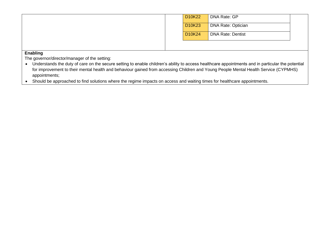|  | D10K22 | <b>DNA Rate: GP</b>       |  |
|--|--------|---------------------------|--|
|  | D10K23 | <b>DNA Rate: Optician</b> |  |
|  | D10K24 | <b>DNA Rate: Dentist</b>  |  |
|  |        |                           |  |

- Understands the duty of care on the secure setting to enable children's ability to access healthcare appointments and in particular the potential for improvement to their mental health and behaviour gained from accessing Children and Young People Mental Health Service (CYPMHS) appointments;
- Should be approached to find solutions where the regime impacts on access and waiting times for healthcare appointments.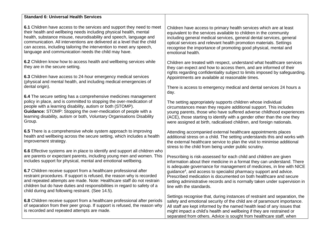| <b>Standard 6: Universal Health Services</b>                                                                                                                                                                                                                                                                                                                                                                                   |                                                                                                                                                                                                                                                                                                                                                                                  |
|--------------------------------------------------------------------------------------------------------------------------------------------------------------------------------------------------------------------------------------------------------------------------------------------------------------------------------------------------------------------------------------------------------------------------------|----------------------------------------------------------------------------------------------------------------------------------------------------------------------------------------------------------------------------------------------------------------------------------------------------------------------------------------------------------------------------------|
| 6.1 Children have access to the services and support they need to meet<br>their health and wellbeing needs including physical health, mental<br>health, substance misuse, neurodisability and speech, language and<br>communication. All interventions are delivered at a level that the child<br>can access, including tailoring the intervention to meet any speech,<br>language and communication needs the child may have. | Children have access to primary health services which are at least<br>equivalent to the services available to children in the community<br>including general medical services, general dental services, general<br>optical services and relevant health promotion materials. Settings<br>recognise the importance of promoting good physical, mental and<br>emotional health.    |
| 6.2 Children know how to access health and wellbeing services while<br>they are in the secure setting.<br>6.3 Children have access to 24-hour emergency medical services                                                                                                                                                                                                                                                       | Children are treated with respect, understand what healthcare services<br>they can expect and how to access them, and are informed of their<br>rights regarding confidentiality subject to limits imposed by safeguarding.<br>Appointments are available at reasonable times.                                                                                                    |
| (physical and mental health, and including medical emergencies of<br>dental origin).                                                                                                                                                                                                                                                                                                                                           | There is access to emergency medical and dental services 24 hours a<br>day.                                                                                                                                                                                                                                                                                                      |
| 6.4 The secure setting has a comprehensive medicines management<br>policy in place, and is committed to stopping the over-medication of<br>people with a learning disability, autism or both (STOMP).<br>Guidance: STOMP: Stopping the over-medication of people with a<br>learning disability, autism or both, Voluntary Organisations Disability<br>Group.                                                                   | The setting appropriately supports children whose individual<br>circumstances mean they require additional support. This includes<br>young parents, those who have suffered adverse childhood experiences<br>(ACE), those starting to identify with a gender other than the one they<br>were assigned at birth, radicalised children, and foreign nationals.                     |
| 6.5 There is a comprehensive whole system approach to improving<br>health and wellbeing across the secure setting, which includes a health<br>improvement strategy.<br>6.6 Effective systems are in place to identify and support all children who                                                                                                                                                                             | Attending accompanied external healthcare appointments places<br>additional stress on a child. The setting understands this and works with<br>the external healthcare service to plan the visit to minimise additional<br>stress to the child from being under public scrutiny.                                                                                                  |
| are parents or expectant parents, including young men and women. This<br>includes support for physical, mental and emotional wellbeing.                                                                                                                                                                                                                                                                                        | Prescribing is risk-assessed for each child and children are given<br>information about their medicine in a format they can understand. There<br>is adequate governance for management of medicines, in line with NICE                                                                                                                                                           |
| 6.7 Children receive support from a healthcare professional after<br>restraint procedures. If support is refused, the reason why is recorded<br>and repeated attempts are made. Note: Healthcare staff do not restrain<br>children but do have duties and responsibilities in regard to safety of a<br>child during and following restraint. (See 14.5).                                                                       | guidance <sup>4</sup> , and access to specialist pharmacy support and advice.<br>Prescribed medication is documented on both healthcare and secure<br>setting administrative records and is normally taken under supervision in<br>line with the standards.                                                                                                                      |
| 6.8 Children receive support from a healthcare professional after periods<br>of separation from their peer group. If support is refused, the reason why<br>is recorded and repeated attempts are made.                                                                                                                                                                                                                         | Settings recognise that, during instances of restraint and separation, the<br>safety and emotional security of the child are of paramount importance.<br>All staff are kept informed by the named health lead of any issues that<br>might impact a child's health and wellbeing if they are restrained or<br>separated from others. Advice is sought from healthcare staff, when |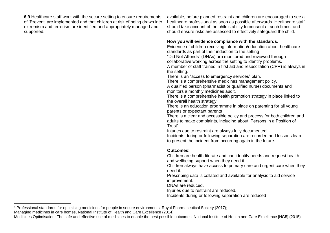| 6.9 Healthcare staff work with the secure setting to ensure requirements<br>of 'Prevent' are implemented and that children at risk of being drawn into | available, before planned restraint and children are encouraged to see a<br>healthcare professional as soon as possible afterwards. Healthcare staff |
|--------------------------------------------------------------------------------------------------------------------------------------------------------|------------------------------------------------------------------------------------------------------------------------------------------------------|
| extremism and terrorism are identified and appropriately managed and                                                                                   | should take account of the child's ability to consent at such times, and                                                                             |
| supported.                                                                                                                                             | should ensure risks are assessed to effectively safeguard the child.                                                                                 |
|                                                                                                                                                        |                                                                                                                                                      |
|                                                                                                                                                        | How you will evidence compliance with the standards:                                                                                                 |
|                                                                                                                                                        | Evidence of children receiving information/education about healthcare                                                                                |
|                                                                                                                                                        | standards as part of their induction to the setting                                                                                                  |
|                                                                                                                                                        | "Did Not Attends" (DNAs) are monitored and reviewed through                                                                                          |
|                                                                                                                                                        | collaborative working across the setting to identify problems.                                                                                       |
|                                                                                                                                                        | A member of staff trained in first aid and resuscitation (CPR) is always in                                                                          |
|                                                                                                                                                        | the setting.<br>There is an "access to emergency services" plan.                                                                                     |
|                                                                                                                                                        | There is a comprehensive medicines management policy.                                                                                                |
|                                                                                                                                                        | A qualified person (pharmacist or qualified nurse) documents and                                                                                     |
|                                                                                                                                                        | monitors a monthly medicines audit.                                                                                                                  |
|                                                                                                                                                        | There is a comprehensive health promotion strategy in place linked to                                                                                |
|                                                                                                                                                        | the overall health strategy.                                                                                                                         |
|                                                                                                                                                        | There is an education programme in place on parenting for all young                                                                                  |
|                                                                                                                                                        | parents or expectant parents                                                                                                                         |
|                                                                                                                                                        | There is a clear and accessible policy and process for both children and                                                                             |
|                                                                                                                                                        | adults to make complaints, including about 'Persons in a Position of                                                                                 |
|                                                                                                                                                        | Trust'.                                                                                                                                              |
|                                                                                                                                                        | Injuries due to restraint are always fully documented.                                                                                               |
|                                                                                                                                                        | Incidents during or following separation are recorded and lessons learnt                                                                             |
|                                                                                                                                                        | to present the incident from occurring again in the future.                                                                                          |
|                                                                                                                                                        | <b>Outcomes:</b>                                                                                                                                     |
|                                                                                                                                                        | Children are health-literate and can identify needs and request health                                                                               |
|                                                                                                                                                        | and wellbeing support when they need it                                                                                                              |
|                                                                                                                                                        | Children always have access to primary care and urgent care when they                                                                                |
|                                                                                                                                                        | need it.                                                                                                                                             |
|                                                                                                                                                        | Prescribing data is collated and available for analysis to aid service                                                                               |
|                                                                                                                                                        | improvement.                                                                                                                                         |
|                                                                                                                                                        | DNAs are reduced.                                                                                                                                    |
|                                                                                                                                                        | Injuries due to restraint are reduced.                                                                                                               |
|                                                                                                                                                        | Incidents during or following separation are reduced                                                                                                 |

<sup>4</sup> Professional standards for optimising medicines for people in secure environments, Royal Pharmaceutical Society (2017); Managing medicines in care homes, National Institute of Health and Care Excellence (2014);

1

Medicines Optimisation: The safe and effective use of medicines to enable the best possible outcomes, National Institute of Health and Care Excellence [NG5] (2015)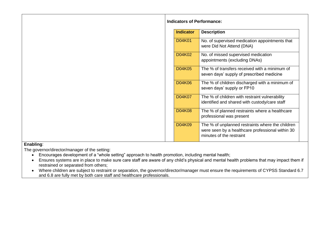| <b>Indicators of Performance:</b> |  |
|-----------------------------------|--|
|                                   |  |

| <b>Indicator</b> | <b>Description</b>                                                                                                               |
|------------------|----------------------------------------------------------------------------------------------------------------------------------|
| D04K01           | No. of supervised medication appointments that<br>were Did Not Attend (DNA)                                                      |
| D04K02           | No. of missed supervised medication<br>appointments (excluding DNAs)                                                             |
| D04K05           | The % of transfers received with a minimum of<br>seven days' supply of prescribed medicine                                       |
| D04K06           | The % of children discharged with a minimum of<br>seven days' supply or FP10                                                     |
| D04K07           | The % of children with restraint vulnerability<br>identified and shared with custody/care staff                                  |
| D04K08           | The % of planned restraints where a healthcare<br>professional was present                                                       |
| D04K09           | The % of unplanned restraints where the children<br>were seen by a healthcare professional within 30<br>minutes of the restraint |

- Encourages development of a "whole setting" approach to health promotion, including mental health;
- Ensures systems are in place to make sure care staff are aware of any child's physical and mental health problems that may impact them if restrained or separated from others;
- Where children are subject to restraint or separation, the governor/director/manager must ensure the requirements of CYPSS Standard 6.7 and 6.8 are fully met by both care staff and healthcare professionals.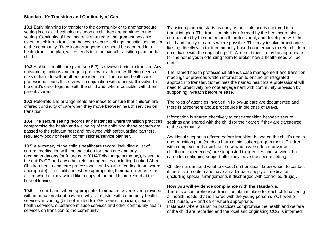| <b>Standard 10: Transition and Continuity of Care</b>                                                                                                                                                                                                                                                                                                                                                                                                                   |                                                                                                                                                                                                                                                                                                                                                                                                                                                                                                                                                      |
|-------------------------------------------------------------------------------------------------------------------------------------------------------------------------------------------------------------------------------------------------------------------------------------------------------------------------------------------------------------------------------------------------------------------------------------------------------------------------|------------------------------------------------------------------------------------------------------------------------------------------------------------------------------------------------------------------------------------------------------------------------------------------------------------------------------------------------------------------------------------------------------------------------------------------------------------------------------------------------------------------------------------------------------|
| 10.1 Early planning for transfer to the community or to another secure<br>setting is crucial, beginning as soon as children are admitted to the<br>setting. Continuity of healthcare is ensured to the greatest possible<br>extent as children transition between secure settings, hospital settings or<br>to the community. Transition arrangements should be captured in a<br>health transition plan, which feeds into the overall transition plan for that<br>child. | Transition planning starts as early as possible and is captured in a<br>transition plan. The transition plan is informed by the healthcare plan,<br>co-ordinated by the named health professional, and developed with the<br>child and family or carers where possible. This may involve practitioners<br>liaising directly with their community-based counterparts to refer children<br>on or liaise with the originating GP. At other times it may be appropriate<br>for the home youth offending team to broker how a health need will be<br>met. |
| 10.2 A child's healthcare plan (see 5.2) is reviewed prior to transfer. Any<br>outstanding actions and ongoing or new health and wellbeing needs or<br>risks of harm to self or others are identified. The named healthcare<br>professional leads this review in conjunction with other staff involved in<br>the child's care, together with the child and, where possible, with their<br>parents/carers.                                                               | The named health professional attends case management and transition<br>meetings or provides written information to ensure an integrated<br>approach to transfer. Sometimes the named healthcare professional will<br>need to proactively promote engagement with community provision by<br>supporting in-reach before release.                                                                                                                                                                                                                      |
| 10.3 Referrals and arrangements are made to ensure that children are<br>offered continuity of care when they move between health services on<br>transition.                                                                                                                                                                                                                                                                                                             | The roles of agencies involved in follow-up care are documented and<br>there is agreement about procedures in the case of DNAs.                                                                                                                                                                                                                                                                                                                                                                                                                      |
| 10.4 The secure setting records any instances where transition practices<br>compromise the health and wellbeing of the child and these records are<br>passed to the relevant host and reviewed with safeguarding partners,                                                                                                                                                                                                                                              | Information is shared effectively to ease transition between secure<br>settings and shared with the child (or their carer) if they are transferred<br>to the community.                                                                                                                                                                                                                                                                                                                                                                              |
| regulatory body or health commissioner/service planner.<br>10.5 A summary of the child's healthcare record, including a list of<br>current medication with the indication for each one and any<br>recommendations for future care (CHAT discharge summary), is sent to<br>the child's GP and any other relevant agencies (including Looked After                                                                                                                        | Additional support is offered before transition based on the child's needs<br>and transition plan (such as harm minimisation programmes). Children<br>with complex needs (such as those who have suffered adverse<br>childhood experiences) are signposted to agencies and services that<br>can offer continuing support after they leave the secure setting.                                                                                                                                                                                        |
| Children health and care professionals and youth offending team where<br>appropriate). The child and, where appropriate, their parents/carers are<br>asked whether they would like a copy of the healthcare record at the<br>time of leaving.                                                                                                                                                                                                                           | Children understand what to expect on transition, know whom to contact<br>if there is a problem and have an adequate supply of medication<br>(including special arrangements if discharged with controlled drugs).                                                                                                                                                                                                                                                                                                                                   |
| 10.6 The child and, where appropriate, their parents/carers are provided<br>with information about how and why to register with community health<br>services, including (but not limited to): GP, dentist, optician, sexual<br>health services, substance misuse services and other community health<br>services on transition to the community.                                                                                                                        | How you will evidence compliance with the standards:<br>There is a comprehensive transition plan in place for each child covering<br>all health needs, that is shared with the young person's YOT worker,<br>YOT nurse, GP and carer where appropriate.<br>Instances where transition practices compromise the health and welfare<br>of the child are recorded and the local and originating CCG is informed.                                                                                                                                        |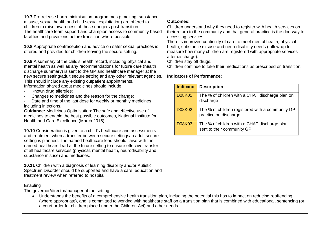**10.7** Pre-release harm-minimisation programmes (smoking, substance misuse, sexual health and child sexual exploitation) are offered to children to raise awareness of these dangers post-transition. The healthcare team support and champion access to community based facilities and provisions before transition where possible.

**10.8** Appropriate contraception and advice on safer sexual practices is offered and provided for children leaving the secure setting.

**10.9** A summary of the child's health record, including physical and mental health as well as any recommendations for future care (health discharge summary) is sent to the GP and healthcare manager at the new secure setting/adult secure setting and any other relevant agencies. This should include any existing outpatient appointments. Information shared about medicines should include:

- Known drug allergies:
- Changes to medicines and the reason for the change;
- Date and time of the last dose for weekly or monthly medicines including injections.

**Guidance:** Medicines Optimisation: The safe and effective use of medicines to enable the best possible outcomes, National Institute for Health and Care Excellence (March 2015).

**10.10** Consideration is given to a child's healthcare and assessments and treatment when a transfer between secure settings/to adult secure setting is planned. The named healthcare lead should liaise with the named healthcare lead at the future setting to ensure effective transfer of all healthcare services (physical, mental health, neurodisability and substance misuse) and medicines.

**10.11** Children with a diagnosis of learning disability and/or Autistic Spectrum Disorder should be supported and have a care, education and treatment review when referred to hospital.

#### **Outcomes**:

Children understand why they need to register with health services on their return to the community and that general practice is the doorway to accessing services.

There is improved continuity of care to meet mental health, physical health, substance misuse and neurodisability needs (follow-up to measure how many children are registered with appropriate services after discharge).

Children stay off drugs.

Children continue to take their medications as prescribed on transition.

#### **Indicators of Performance:**

| <b>Indicator</b> | <b>Description</b>                                                         |
|------------------|----------------------------------------------------------------------------|
| <b>D08K01</b>    | The % of children with a CHAT discharge plan on<br>discharge               |
| <b>D08K02</b>    | The % of children registered with a community GP<br>practice on discharge  |
| <b>D08K03</b>    | The % of children with a CHAT discharge plan<br>sent to their community GP |

**Enabling** 

The governor/director/manager of the setting:

• Understands the benefits of a comprehensive health transition plan, including the potential this has to impact on reducing reoffending (where appropriate), and is committed to working with healthcare staff on a transition plan that is combined with educational, sentencing (or a court order for children placed under the Children Act) and other needs.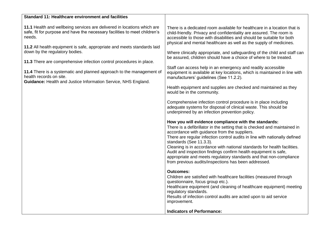| <b>Standard 11: Healthcare environment and facilities</b>                                                                                                                                                                                  |                                                                                                                                                                                                                                                                                                                                                                                                                                                                                                                                                                         |
|--------------------------------------------------------------------------------------------------------------------------------------------------------------------------------------------------------------------------------------------|-------------------------------------------------------------------------------------------------------------------------------------------------------------------------------------------------------------------------------------------------------------------------------------------------------------------------------------------------------------------------------------------------------------------------------------------------------------------------------------------------------------------------------------------------------------------------|
| 11.1 Health and wellbeing services are delivered in locations which are<br>safe, fit for purpose and have the necessary facilities to meet children's<br>needs.<br>11.2 All health equipment is safe, appropriate and meets standards laid | There is a dedicated room available for healthcare in a location that is<br>child-friendly. Privacy and confidentiality are assured. The room is<br>accessible to those with disabilities and should be suitable for both<br>physical and mental healthcare as well as the supply of medicines.                                                                                                                                                                                                                                                                         |
| down by the regulatory bodies.                                                                                                                                                                                                             | Where clinically appropriate, and safeguarding of the child and staff can<br>be assured, children should have a choice of where to be treated.                                                                                                                                                                                                                                                                                                                                                                                                                          |
| 11.3 There are comprehensive infection control procedures in place.                                                                                                                                                                        |                                                                                                                                                                                                                                                                                                                                                                                                                                                                                                                                                                         |
| 11.4 There is a systematic and planned approach to the management of<br>health records on site.<br>Guidance: Health and Justice Information Service, NHS England.                                                                          | Staff can access help in an emergency and readily accessible<br>equipment is available at key locations, which is maintained in line with<br>manufacturers' guidelines (See 11.2.2).                                                                                                                                                                                                                                                                                                                                                                                    |
|                                                                                                                                                                                                                                            | Health equipment and supplies are checked and maintained as they<br>would be in the community.                                                                                                                                                                                                                                                                                                                                                                                                                                                                          |
|                                                                                                                                                                                                                                            | Comprehensive infection control procedure is in place including<br>adequate systems for disposal of clinical waste. This should be<br>underpinned by an infection prevention policy.                                                                                                                                                                                                                                                                                                                                                                                    |
|                                                                                                                                                                                                                                            | How you will evidence compliance with the standards:<br>There is a defibrillator in the setting that is checked and maintained in<br>accordance with guidance from the suppliers.<br>There are regular infection control audits in line with nationally defined<br>standards (See 11.3.3).<br>Cleaning is in accordance with national standards for health facilities.<br>Audit and inspection findings confirm health equipment is safe,<br>appropriate and meets regulatory standards and that non-compliance<br>from previous audits/inspections has been addressed. |
|                                                                                                                                                                                                                                            | <b>Outcomes:</b><br>Children are satisfied with healthcare facilities (measured through<br>questionnaire, focus group etc.).<br>Healthcare equipment (and cleaning of healthcare equipment) meeting<br>regulatory standards.<br>Results of infection control audits are acted upon to aid service<br>improvement.                                                                                                                                                                                                                                                       |
|                                                                                                                                                                                                                                            | <b>Indicators of Performance:</b>                                                                                                                                                                                                                                                                                                                                                                                                                                                                                                                                       |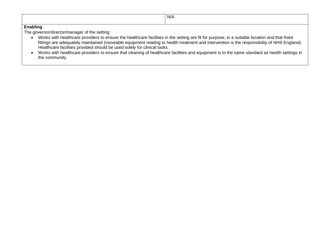| N/A |
|-----|
|     |

- Works with healthcare providers to ensure the healthcare facilities in the setting are fit for purpose, in a suitable location and that fixed fittings are adequately maintained (moveable equipment relating to health treatment and intervention is the responsibility of NHS England). Healthcare facilities provided should be used solely for clinical tasks.
- Works with healthcare providers to ensure that cleaning of healthcare facilities and equipment is to the same standard as health settings in the community.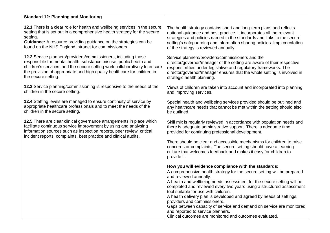| <b>Standard 12: Planning and Monitoring</b>                                                                                                                                                                                                                                           |                                                                                                                                                                                                                                                                                                                                                                                                                                                                                                                                                                                                                                     |
|---------------------------------------------------------------------------------------------------------------------------------------------------------------------------------------------------------------------------------------------------------------------------------------|-------------------------------------------------------------------------------------------------------------------------------------------------------------------------------------------------------------------------------------------------------------------------------------------------------------------------------------------------------------------------------------------------------------------------------------------------------------------------------------------------------------------------------------------------------------------------------------------------------------------------------------|
| 12.1 There is a clear role for health and wellbeing services in the secure                                                                                                                                                                                                            | The health strategy contains short and long-term plans and reflects                                                                                                                                                                                                                                                                                                                                                                                                                                                                                                                                                                 |
| setting that is set out in a comprehensive health strategy for the secure                                                                                                                                                                                                             | national guidance and best practice. It incorporates all the relevant                                                                                                                                                                                                                                                                                                                                                                                                                                                                                                                                                               |
| setting.                                                                                                                                                                                                                                                                              | strategies and policies named in the standards and links to the secure                                                                                                                                                                                                                                                                                                                                                                                                                                                                                                                                                              |
| Guidance: A resource providing guidance on the strategies can be                                                                                                                                                                                                                      | setting's safeguarding and information sharing policies. Implementation                                                                                                                                                                                                                                                                                                                                                                                                                                                                                                                                                             |
| found on the NHS England intranet for commissioners.                                                                                                                                                                                                                                  | of the strategy is reviewed annually.                                                                                                                                                                                                                                                                                                                                                                                                                                                                                                                                                                                               |
| 12.2 Service planners/providers/commissioners, including those                                                                                                                                                                                                                        | Service planners/providers/commissioners and the                                                                                                                                                                                                                                                                                                                                                                                                                                                                                                                                                                                    |
| responsible for mental health, substance misuse, public health and                                                                                                                                                                                                                    | director/governor/manager of the setting are aware of their respective                                                                                                                                                                                                                                                                                                                                                                                                                                                                                                                                                              |
| children's services, and the secure setting work collaboratively to ensure                                                                                                                                                                                                            | responsibilities under legislative and regulatory frameworks. The                                                                                                                                                                                                                                                                                                                                                                                                                                                                                                                                                                   |
| the provision of appropriate and high quality healthcare for children in                                                                                                                                                                                                              | director/governor/manager ensures that the whole setting is involved in                                                                                                                                                                                                                                                                                                                                                                                                                                                                                                                                                             |
| the secure setting.                                                                                                                                                                                                                                                                   | strategic health planning.                                                                                                                                                                                                                                                                                                                                                                                                                                                                                                                                                                                                          |
| 12.3 Service planning/commissioning is responsive to the needs of the                                                                                                                                                                                                                 | Views of children are taken into account and incorporated into planning                                                                                                                                                                                                                                                                                                                                                                                                                                                                                                                                                             |
| children in the secure setting.                                                                                                                                                                                                                                                       | and improving services.                                                                                                                                                                                                                                                                                                                                                                                                                                                                                                                                                                                                             |
| 12.4 Staffing levels are managed to ensure continuity of service by                                                                                                                                                                                                                   | Special health and wellbeing services provided should be outlined and                                                                                                                                                                                                                                                                                                                                                                                                                                                                                                                                                               |
| appropriate healthcare professionals and to meet the needs of the                                                                                                                                                                                                                     | any healthcare needs that cannot be met within the setting should also                                                                                                                                                                                                                                                                                                                                                                                                                                                                                                                                                              |
| children in the secure setting.                                                                                                                                                                                                                                                       | be outlined.                                                                                                                                                                                                                                                                                                                                                                                                                                                                                                                                                                                                                        |
| 12.5 There are clear clinical governance arrangements in place which<br>facilitate continuous service improvement by using and analysing<br>information sources such as inspection reports, peer review, critical<br>incident reports, complaints, best practice and clinical audits. | Skill mix is regularly reviewed in accordance with population needs and<br>there is adequate administrative support. There is adequate time<br>provided for continuing professional development.                                                                                                                                                                                                                                                                                                                                                                                                                                    |
|                                                                                                                                                                                                                                                                                       | There should be clear and accessible mechanisms for children to raise<br>concerns or complaints. The secure setting should have a learning<br>culture that welcomes feedback and makes it easy for children to<br>provide it.                                                                                                                                                                                                                                                                                                                                                                                                       |
|                                                                                                                                                                                                                                                                                       | How you will evidence compliance with the standards:<br>A comprehensive health strategy for the secure setting will be prepared<br>and reviewed annually.<br>A health and wellbeing needs assessment for the secure setting will be<br>completed and reviewed every two years using a structured assessment<br>tool suitable for use with children.<br>A health delivery plan is developed and agreed by heads of settings,<br>providers and commissioners.<br>Gaps between capacity of service and demand on service are monitored<br>and reported to service planners.<br>Clinical outcomes are monitored and outcomes evaluated. |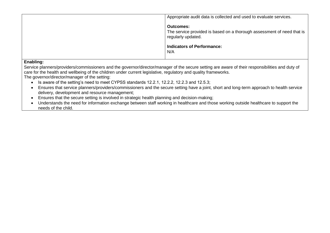| Appropriate audit data is collected and used to evaluate services.                                               |
|------------------------------------------------------------------------------------------------------------------|
| <b>Outcomes:</b><br>The service provided is based on a thorough assessment of need that is<br>regularly updated. |
| <b>Indicators of Performance:</b><br>N/A                                                                         |

Service planners/providers/commissioners and the governor/director/manager of the secure setting are aware of their responsibilities and duty of care for the health and wellbeing of the children under current legislative, regulatory and quality frameworks.

- Is aware of the setting's need to meet CYPSS standards 12.2.1, 12.2.2, 12.2.3 and 12.5.3;
- Ensures that service planners/providers/commissioners and the secure setting have a joint, short and long-term approach to health service delivery, development and resource management;
- Ensures that the secure setting is involved in strategic health planning and decision-making;
- Understands the need for information exchange between staff working in healthcare and those working outside healthcare to support the needs of the child.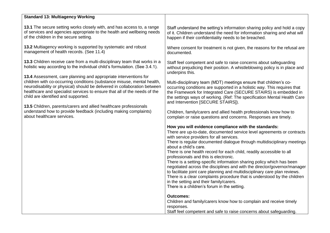| <b>Standard 13: Multiagency Working</b>                                    |                                                                                                                                                                                                                                                                                                                                                                                                                                                                                                                                                                                                                                                                                                                                                                                                          |
|----------------------------------------------------------------------------|----------------------------------------------------------------------------------------------------------------------------------------------------------------------------------------------------------------------------------------------------------------------------------------------------------------------------------------------------------------------------------------------------------------------------------------------------------------------------------------------------------------------------------------------------------------------------------------------------------------------------------------------------------------------------------------------------------------------------------------------------------------------------------------------------------|
| 13.1 The secure setting works closely with, and has access to, a range     | Staff understand the setting's information sharing policy and hold a copy                                                                                                                                                                                                                                                                                                                                                                                                                                                                                                                                                                                                                                                                                                                                |
| of services and agencies appropriate to the health and wellbeing needs     | of it. Children understand the need for information sharing and what will                                                                                                                                                                                                                                                                                                                                                                                                                                                                                                                                                                                                                                                                                                                                |
| of the children in the secure setting.                                     | happen if their confidentiality needs to be breached.                                                                                                                                                                                                                                                                                                                                                                                                                                                                                                                                                                                                                                                                                                                                                    |
| 13.2 Multiagency working is supported by systematic and robust             | Where consent for treatment is not given, the reasons for the refusal are                                                                                                                                                                                                                                                                                                                                                                                                                                                                                                                                                                                                                                                                                                                                |
| management of health records. (See 11.4)                                   | documented.                                                                                                                                                                                                                                                                                                                                                                                                                                                                                                                                                                                                                                                                                                                                                                                              |
| 13.3 Children receive care from a multi-disciplinary team that works in a  | Staff feel competent and safe to raise concerns about safeguarding                                                                                                                                                                                                                                                                                                                                                                                                                                                                                                                                                                                                                                                                                                                                       |
| holistic way according to the individual child's formulation. (See 3.4.1). | without prejudicing their position. A whistleblowing policy is in place and                                                                                                                                                                                                                                                                                                                                                                                                                                                                                                                                                                                                                                                                                                                              |
| 13.4 Assessment, care planning and appropriate interventions for           | underpins this.                                                                                                                                                                                                                                                                                                                                                                                                                                                                                                                                                                                                                                                                                                                                                                                          |
| children with co-occurring conditions (substance misuse, mental health,    | Multi-disciplinary team (MDT) meetings ensure that children's co-                                                                                                                                                                                                                                                                                                                                                                                                                                                                                                                                                                                                                                                                                                                                        |
| neurodisability or physical) should be delivered in collaboration between  | occurring conditions are supported in a holistic way. This requires that                                                                                                                                                                                                                                                                                                                                                                                                                                                                                                                                                                                                                                                                                                                                 |
| healthcare and specialist services to ensure that all of the needs of the  | the Framework for Integrated Care (SECURE STAIRS) is embedded in                                                                                                                                                                                                                                                                                                                                                                                                                                                                                                                                                                                                                                                                                                                                         |
| child are identified and supported.                                        | the settings ways of working. (Ref: The specification Mental Health Care                                                                                                                                                                                                                                                                                                                                                                                                                                                                                                                                                                                                                                                                                                                                 |
| 13.5 Children, parents/carers and allied healthcare professionals          | and Intervention [SECURE STAIRS]).                                                                                                                                                                                                                                                                                                                                                                                                                                                                                                                                                                                                                                                                                                                                                                       |
| understand how to provide feedback (including making complaints)           | Children, family/carers and allied health professionals know how to                                                                                                                                                                                                                                                                                                                                                                                                                                                                                                                                                                                                                                                                                                                                      |
| about healthcare services.                                                 | complain or raise questions and concerns. Responses are timely.                                                                                                                                                                                                                                                                                                                                                                                                                                                                                                                                                                                                                                                                                                                                          |
|                                                                            | How you will evidence compliance with the standards:<br>There are up-to-date, documented service level agreements or contracts<br>with service providers for all services.<br>There is regular documented dialogue through multidisciplinary meetings<br>about a child's care.<br>There is one health record for each child, readily accessible to all<br>professionals and this is electronic.<br>There is a setting-specific information sharing policy which has been<br>negotiated across the disciplines and with the director/governor/manager<br>to facilitate joint care planning and multidisciplinary care plan reviews.<br>There is a clear complaints procedure that is understood by the children<br>in the setting and their family/carers.<br>There is a children's forum in the setting. |
|                                                                            | <b>Outcomes:</b><br>Children and family/carers know how to complain and receive timely<br>responses.<br>Staff feel competent and safe to raise concerns about safeguarding.                                                                                                                                                                                                                                                                                                                                                                                                                                                                                                                                                                                                                              |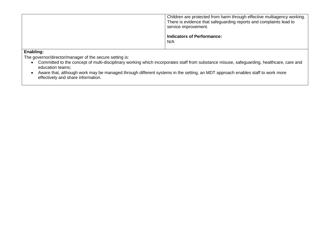|           | Children are protected from harm through effective multiagency working.<br>There is evidence that safeguarding reports and complaints lead to<br>service improvement.<br><b>Indicators of Performance:</b><br>N/A |
|-----------|-------------------------------------------------------------------------------------------------------------------------------------------------------------------------------------------------------------------|
| Enabling. |                                                                                                                                                                                                                   |

The governor/director/manager of the secure setting is:

- Committed to the concept of multi-disciplinary working which incorporates staff from substance misuse, safeguarding, healthcare, care and education teams;
- Aware that, although work may be managed through different systems in the setting, an MDT approach enables staff to work more effectively and share information.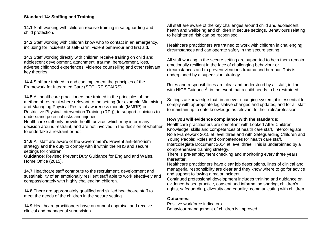| <b>Standard 14: Staffing and Training</b>                                                                                                                                                                                                                                                        |                                                                                                                                                                                                                                                                     |
|--------------------------------------------------------------------------------------------------------------------------------------------------------------------------------------------------------------------------------------------------------------------------------------------------|---------------------------------------------------------------------------------------------------------------------------------------------------------------------------------------------------------------------------------------------------------------------|
| 14.1 Staff working with children receive training in safeguarding and<br>child protection.                                                                                                                                                                                                       | All staff are aware of the key challenges around child and adolescent<br>health and wellbeing and children in secure settings. Behaviours relating<br>to heightened risk can be recognised.                                                                         |
| 14.2 Staff working with children know who to contact in an emergency,                                                                                                                                                                                                                            | Healthcare practitioners are trained to work with children in challenging                                                                                                                                                                                           |
| including for incidents of self-harm, violent behaviour and first aid.                                                                                                                                                                                                                           | circumstances and can operate safely in the secure setting.                                                                                                                                                                                                         |
| 14.3 Staff working directly with children receive training on child and                                                                                                                                                                                                                          | All staff working in the secure setting are supported to help them remain                                                                                                                                                                                           |
| adolescent development, attachment, trauma, bereavement, loss,                                                                                                                                                                                                                                   | emotionally resilient in the face of challenging behaviour or                                                                                                                                                                                                       |
| adverse childhood experiences, violence counselling and other relevant                                                                                                                                                                                                                           | circumstances and to prevent vicarious trauma and burnout. This is                                                                                                                                                                                                  |
| key theories.                                                                                                                                                                                                                                                                                    | underpinned by a supervision strategy.                                                                                                                                                                                                                              |
| 14.4 Staff are trained in and can implement the principles of the                                                                                                                                                                                                                                | Roles and responsibilities are clear and understood by all staff, in line                                                                                                                                                                                           |
| Framework for Integrated Care (SECURE STAIRS).                                                                                                                                                                                                                                                   | with NICE Guidance <sup>5</sup> , in the event that a child needs to be restrained.                                                                                                                                                                                 |
| 14.5 All healthcare practitioners are trained in the principles of the<br>method of restraint where relevant to the setting (for example Minimising<br>and Managing Physical Restraint awareness module (MMRP) or<br>Restrictive Physical Intervention Training (RPI)), to support clinicians to | Settings acknowledge that, in an ever-changing system, it is essential to<br>comply with appropriate legislative changes and updates, and for all staff<br>to maintain up to date knowledge as relevant to their role/profession.                                   |
| understand potential risks and injuries.                                                                                                                                                                                                                                                         | How you will evidence compliance with the standards:                                                                                                                                                                                                                |
| Healthcare staff only provide health advice which may inform any                                                                                                                                                                                                                                 | Healthcare practitioners are compliant with Looked After Children:                                                                                                                                                                                                  |
| decision around restraint, and are not involved in the decision of whether                                                                                                                                                                                                                       | Knowledge, skills and competences of health care staff, Intercollegiate                                                                                                                                                                                             |
| to undertake a restraint or not.                                                                                                                                                                                                                                                                 | Role Framework 2015 at level three and with Safeguarding Children and                                                                                                                                                                                               |
| 14.6 All staff are aware of the Government's Prevent anti-terrorism                                                                                                                                                                                                                              | Young People: Roles and competences for health care staff,                                                                                                                                                                                                          |
| strategy and the duty to comply with it within the NHS and secure                                                                                                                                                                                                                                | Intercollegiate Document 2014 at level three. This is underpinned by a                                                                                                                                                                                              |
| settings for children.                                                                                                                                                                                                                                                                           | comprehensive training strategy.                                                                                                                                                                                                                                    |
| <b>Guidance: Revised Prevent Duty Guidance for England and Wales,</b><br>Home Office (2015).                                                                                                                                                                                                     | There is pre-employment checking and monitoring every three years<br>thereafter.<br>Healthcare practitioners have clear job descriptions, lines of clinical and                                                                                                     |
| 14.7 Healthcare staff contribute to the recruitment, development and<br>sustainability of an emotionally resilient staff able to work effectively and<br>compassionately with highly challenging children.                                                                                       | managerial responsibility are clear and they know where to go for advice<br>and support following a major incident.<br>Continued professional development includes training and guidance on<br>evidence-based practice, consent and information sharing, children's |
| 14.8 There are appropriately qualified and skilled healthcare staff to                                                                                                                                                                                                                           | rights, safeguarding, diversity and equality, communicating with children.                                                                                                                                                                                          |
| meet the needs of the children in the secure setting.                                                                                                                                                                                                                                            | <b>Outcomes:</b>                                                                                                                                                                                                                                                    |
| 14.9 Healthcare practitioners have an annual appraisal and receive                                                                                                                                                                                                                               | Positive workforce indicators.                                                                                                                                                                                                                                      |
| clinical and managerial supervision.                                                                                                                                                                                                                                                             | Behaviour management of children is improved.                                                                                                                                                                                                                       |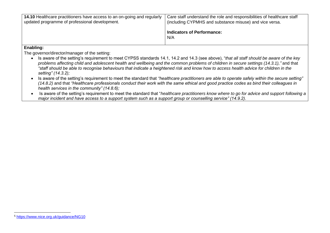| <b>14.10</b> Healthcare practitioners have access to an on-going and regularly<br>updated programme of professional development. | Care staff understand the role and responsibilities of healthcare staff<br>(including CYPMHS and substance misuse) and vice versa. |
|----------------------------------------------------------------------------------------------------------------------------------|------------------------------------------------------------------------------------------------------------------------------------|
|                                                                                                                                  | Indicators of Performance:<br>N/A                                                                                                  |
| Enghling.                                                                                                                        |                                                                                                                                    |

- Is aware of the setting's requirement to meet CYPSS standards 14.1, 14.2 and 14.3 (see above), "*that all staff should be aware of the key problems affecting child and adolescent health and wellbeing and the common problems of children in secure settings (14.3.1),"* and that *"staff should be able to recognise behaviours that indicate a heightened risk and know how to access health advice for children in the setting" (14.3.2);*
- Is aware of the setting's requirement to meet the standard that *"healthcare practitioners are able to operate safely within the secure setting" (14.8.2)* and that *"Healthcare professionals conduct their work with the same ethical and good practice codes as bind their colleagues in health services in the community" (14.8.6);*
- Is aware of the setting's requirement to meet the standard that "*healthcare practitioners know where to go for advice and support following a major incident and have access to a support system such as a support group or counselling service" (14.9.2).*

<sup>1</sup> <sup>5</sup> <https://www.nice.org.uk/guidance/NG10>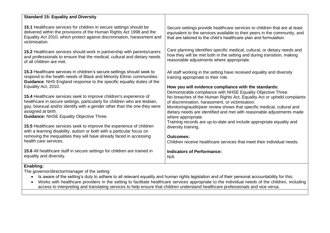| <b>Standard 15: Equality and Diversity</b>                                                                                                                                                                                                                                                          |                                                                                                                                                                                                                                                                                                                                                                    |
|-----------------------------------------------------------------------------------------------------------------------------------------------------------------------------------------------------------------------------------------------------------------------------------------------------|--------------------------------------------------------------------------------------------------------------------------------------------------------------------------------------------------------------------------------------------------------------------------------------------------------------------------------------------------------------------|
| 15.1 Healthcare services for children in secure settings should be<br>delivered within the provisions of the Human Rights Act 1998 and the<br>Equality Act 2010, which protect against discrimination, harassment and<br>victimisation.                                                             | Secure settings provide healthcare services to children that are at least<br>equivalent to the services available to their peers in the community, and<br>that are tailored to the child's healthcare plan and formulation.                                                                                                                                        |
| 15.2 Healthcare services should work in partnership with parents/carers<br>and professionals to ensure that the medical, cultural and dietary needs<br>of all children are met.                                                                                                                     | Care planning identifies specific medical, cultural, or dietary needs and<br>how they will be met both in the setting and during transition, making<br>reasonable adjustments where appropriate.                                                                                                                                                                   |
| 15.3 Healthcare services in children's secure settings should seek to<br>respond to the health needs of Black and Minority Ethnic communities.<br>Guidance: NHS England response to the specific equality duties of the<br>Equality Act, 2010.                                                      | All staff working in the setting have received equality and diversity<br>training appropriate to their role.<br>How you will evidence compliance with the standards:                                                                                                                                                                                               |
| 15.4 Healthcare services seek to improve children's experience of<br>healthcare in secure settings, particularly for children who are lesbian,<br>gay, bisexual and/or identify with a gender other than the one they were<br>assigned at birth.<br><b>Guidance: NHSE Equality Objective Three.</b> | Demonstrable compliance with NHSE Equality Objective Three.<br>No breaches of the Human Rights Act, Equality Act or upheld complaints<br>of discrimination, harassment, or victimisation.<br>Monitoring/audit/peer review shows that specific medical, cultural and<br>dietary needs are identified and met with reasonable adjustments made<br>where appropriate. |
| 15.5 Healthcare services seek to improve the experience of children<br>with a learning disability, autism or both with a particular focus on<br>removing the inequalities they will have already faced in accessing<br>health care services.                                                        | Training records are up-to-date and include appropriate equality and<br>diversity training.<br>Outcomes:<br>Children receive healthcare services that meet their individual needs.                                                                                                                                                                                 |
| 15.6 All healthcare staff in secure settings for children are trained in<br>equality and diversity.                                                                                                                                                                                                 | <b>Indicators of Performance:</b><br>N/A                                                                                                                                                                                                                                                                                                                           |

- Is aware of the setting's duty to adhere to all relevant equality and human rights legislation and of their personal accountability for this;
- Works with healthcare providers in the setting to facilitate healthcare services appropriate to the individual needs of the children, including access to interpreting and translating services to help ensure that children understand healthcare professionals and vice versa.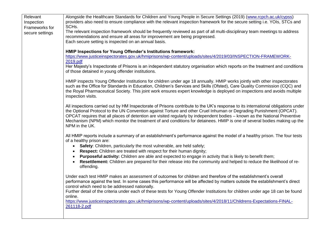| Relevant                          | Alongside the Healthcare Standards for Children and Young People in Secure Settings (2019) (www.rcpch.ac.uk/cypss)                                                                                                                                     |
|-----------------------------------|--------------------------------------------------------------------------------------------------------------------------------------------------------------------------------------------------------------------------------------------------------|
| Inspection                        | providers also need to ensure compliance with the relevant inspection framework for the secure setting i.e. YOIs, STCs and<br>SCH <sub>s.</sub>                                                                                                        |
| Frameworks for<br>secure settings | The relevant inspection framework should be frequently reviewed as part of all multi-disciplinary team meetings to address                                                                                                                             |
|                                   | recommendations and ensure all areas for improvement are being progressed.                                                                                                                                                                             |
|                                   | Each secure setting is inspected on an annual basis.                                                                                                                                                                                                   |
|                                   | HMIP Inspections for Young Offender's Institutions framework:                                                                                                                                                                                          |
|                                   | https://www.justiceinspectorates.gov.uk/hmiprisons/wp-content/uploads/sites/4/2019/03/INSPECTION-FRAMEWORK-                                                                                                                                            |
|                                   | 2019.pdf                                                                                                                                                                                                                                               |
|                                   | Her Majesty's Inspectorate of Prisons is an independent statutory organisation which reports on the treatment and conditions                                                                                                                           |
|                                   | of those detained in young offender institutions.                                                                                                                                                                                                      |
|                                   | HMIP inspects Young Offender Institutions for children under age 18 annually. HMIP works jointly with other inspectorates                                                                                                                              |
|                                   | such as the Office for Standards in Education, Children's Services and Skills (Ofsted), Care Quality Commission (CQC) and                                                                                                                              |
|                                   | the Royal Pharmaceutical Society. This joint work ensures expert knowledge is deployed on inspections and avoids multiple                                                                                                                              |
|                                   | inspection visits.                                                                                                                                                                                                                                     |
|                                   | All inspections carried out by HM Inspectorate of Prisons contribute to the UK's response to its international obligations under                                                                                                                       |
|                                   | the Optional Protocol to the UN Convention against Torture and other Cruel Inhuman or Degrading Punishment (OPCAT).                                                                                                                                    |
|                                   | OPCAT requires that all places of detention are visited regularly by independent bodies - known as the National Preventive<br>Mechanism (NPM) which monitor the treatment of and conditions for detainees. HMIP is one of several bodies making up the |
|                                   | NPM in the UK.                                                                                                                                                                                                                                         |
|                                   |                                                                                                                                                                                                                                                        |
|                                   | All HMIP reports include a summary of an establishment's performance against the model of a healthy prison. The four tests                                                                                                                             |
|                                   | of a healthy prison are:<br>Safety: Children, particularly the most vulnerable, are held safely;                                                                                                                                                       |
|                                   | Respect: Children are treated with respect for their human dignity;                                                                                                                                                                                    |
|                                   | Purposeful activity: Children are able and expected to engage in activity that is likely to benefit them;                                                                                                                                              |
|                                   | Resettlement: Children are prepared for their release into the community and helped to reduce the likelihood of re-                                                                                                                                    |
|                                   | offending.                                                                                                                                                                                                                                             |
|                                   | Under each test HMIP makes an assessment of outcomes for children and therefore of the establishment's overall                                                                                                                                         |
|                                   | performance against the test. In some cases this performance will be affected by matters outside the establishment's direct                                                                                                                            |
|                                   | control which need to be addressed nationally.                                                                                                                                                                                                         |
|                                   | Further detail of the criteria under each of these tests for Young Offender Institutions for children under age 18 can be found                                                                                                                        |
|                                   | online.<br>https://www.justiceinspectorates.gov.uk/hmiprisons/wp-content/uploads/sites/4/2018/11/Childrens-Expectations-FINAL-                                                                                                                         |
|                                   | 261118-2.pdf                                                                                                                                                                                                                                           |
|                                   |                                                                                                                                                                                                                                                        |
|                                   |                                                                                                                                                                                                                                                        |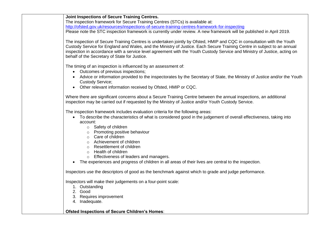| <b>Joint Inspections of Secure Training Centres.</b> |
|------------------------------------------------------|
|------------------------------------------------------|

The inspection framework for Secure Training Centres (STCs) is available at: <http://ofsted.gov.uk/resources/inspections-of-secure-training-centres-framework-for-inspecting> Please note the STC inspection framework is currently under review. A new framework will be published in April 2019.

The inspection of Secure Training Centres is undertaken jointly by Ofsted, HMIP and CQC in consultation with the Youth Custody Service for England and Wales, and the Ministry of Justice. Each Secure Training Centre in subject to an annual inspection in accordance with a service level agreement with the Youth Custody Service and Ministry of Justice, acting on behalf of the Secretary of State for Justice.

The timing of an inspection is influenced by an assessment of:

- Outcomes of previous inspections;
- Advice or information provided to the inspectorates by the Secretary of State, the Ministry of Justice and/or the Youth Custody Service;
- Other relevant information received by Ofsted, HMIP or CQC.

Where there are significant concerns about a Secure Training Centre between the annual inspections, an additional inspection may be carried out if requested by the Ministry of Justice and/or Youth Custody Service.

The inspection framework includes evaluation criteria for the following areas:

- To describe the characteristics of what is considered good in the judgement of overall effectiveness, taking into account:
	- o Safety of children
	- o Promoting positive behaviour
	- o Care of children
	- o Achievement of children
	- o Resettlement of children
	- o Health of children
	- o Effectiveness of leaders and managers.
- The experiences and progress of children in all areas of their lives are central to the inspection.

Inspectors use the descriptors of good as the benchmark against which to grade and judge performance.

Inspectors will make their judgements on a four-point scale:

- 1. Outstanding
- 2. Good
- 3. Requires improvement
- 4. Inadequate.

#### **Ofsted Inspections of Secure Children's Homes**: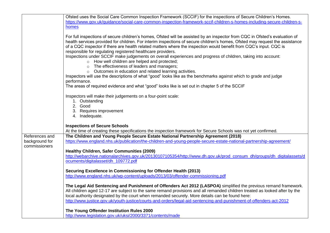|                | Ofsted uses the Social Care Common Inspection Framework (SCCIF) for the inspections of Secure Children's Homes.                                                                                                                                                                                                                                                                                                                                                                                                                                                                                                                                                                                                                                                                                                                                                                                                                                                                                                                                                    |
|----------------|--------------------------------------------------------------------------------------------------------------------------------------------------------------------------------------------------------------------------------------------------------------------------------------------------------------------------------------------------------------------------------------------------------------------------------------------------------------------------------------------------------------------------------------------------------------------------------------------------------------------------------------------------------------------------------------------------------------------------------------------------------------------------------------------------------------------------------------------------------------------------------------------------------------------------------------------------------------------------------------------------------------------------------------------------------------------|
|                | https://www.gov.uk/guidance/social-care-common-inspection-framework-sccif-children-s-homes-including-secure-children-s-                                                                                                                                                                                                                                                                                                                                                                                                                                                                                                                                                                                                                                                                                                                                                                                                                                                                                                                                            |
|                | homes                                                                                                                                                                                                                                                                                                                                                                                                                                                                                                                                                                                                                                                                                                                                                                                                                                                                                                                                                                                                                                                              |
|                | For full inspections of secure children's homes, Ofsted will be assisted by an inspector from CQC in Ofsted's evaluation of<br>health services provided for children. For interim inspections of secure children's homes, Ofsted may request the assistance<br>of a CQC inspector if there are health related matters where the inspection would benefit from CQC's input. CQC is<br>responsible for regulating registered healthcare providers.<br>Inspections under SCCIF make judgements on overall experiences and progress of children, taking into account:<br>o How well children are helped and protected;<br>o The effectiveness of leaders and managers;<br>o Outcomes in education and related learning activities.<br>Inspectors will use the descriptions of what "good" looks like as the benchmarks against which to grade and judge<br>performance.<br>The areas of required evidence and what "good" looks like is set out in chapter 5 of the SCCIF<br>Inspectors will make their judgements on a four-point scale:<br>1. Outstanding<br>2. Good |
|                | 3. Requires improvement                                                                                                                                                                                                                                                                                                                                                                                                                                                                                                                                                                                                                                                                                                                                                                                                                                                                                                                                                                                                                                            |
|                | 4. Inadequate.                                                                                                                                                                                                                                                                                                                                                                                                                                                                                                                                                                                                                                                                                                                                                                                                                                                                                                                                                                                                                                                     |
|                | <b>Inspections of Secure Schools</b>                                                                                                                                                                                                                                                                                                                                                                                                                                                                                                                                                                                                                                                                                                                                                                                                                                                                                                                                                                                                                               |
|                | At the time of creating these specifications the inspection framework for Secure Schools was not yet confirmed.                                                                                                                                                                                                                                                                                                                                                                                                                                                                                                                                                                                                                                                                                                                                                                                                                                                                                                                                                    |
| References and | The Children and Young People Secure Estate National Partnership Agreement (2018)                                                                                                                                                                                                                                                                                                                                                                                                                                                                                                                                                                                                                                                                                                                                                                                                                                                                                                                                                                                  |
| background for | https://www.england.nhs.uk/publication/the-children-and-young-people-secure-estate-national-partnership-agreement/                                                                                                                                                                                                                                                                                                                                                                                                                                                                                                                                                                                                                                                                                                                                                                                                                                                                                                                                                 |
| commissioners  |                                                                                                                                                                                                                                                                                                                                                                                                                                                                                                                                                                                                                                                                                                                                                                                                                                                                                                                                                                                                                                                                    |
|                | <b>Healthy Children, Safer Communities (2009)</b>                                                                                                                                                                                                                                                                                                                                                                                                                                                                                                                                                                                                                                                                                                                                                                                                                                                                                                                                                                                                                  |
|                | http://webarchive.nationalarchives.gov.uk/20130107105354/http://www.dh.gov.uk/prod_consum_dh/groups/dh_digitalassets/d                                                                                                                                                                                                                                                                                                                                                                                                                                                                                                                                                                                                                                                                                                                                                                                                                                                                                                                                             |
|                | ocuments/digitalasset/dh 109772.pdf                                                                                                                                                                                                                                                                                                                                                                                                                                                                                                                                                                                                                                                                                                                                                                                                                                                                                                                                                                                                                                |
|                | Securing Excellence in Commissioning for Offender Health (2013)                                                                                                                                                                                                                                                                                                                                                                                                                                                                                                                                                                                                                                                                                                                                                                                                                                                                                                                                                                                                    |
|                | http://www.england.nhs.uk/wp-content/uploads/2013/03/offender-commissioning.pdf                                                                                                                                                                                                                                                                                                                                                                                                                                                                                                                                                                                                                                                                                                                                                                                                                                                                                                                                                                                    |
|                |                                                                                                                                                                                                                                                                                                                                                                                                                                                                                                                                                                                                                                                                                                                                                                                                                                                                                                                                                                                                                                                                    |
|                | The Legal Aid Sentencing and Punishment of Offenders Act 2012 (LASPOA) simplified the previous remand framework.                                                                                                                                                                                                                                                                                                                                                                                                                                                                                                                                                                                                                                                                                                                                                                                                                                                                                                                                                   |
|                | All children aged 12-17 are subject to the same remand provisions and all remanded children treated as looked after by the                                                                                                                                                                                                                                                                                                                                                                                                                                                                                                                                                                                                                                                                                                                                                                                                                                                                                                                                         |
|                | local authority designated by the court when remanded securely. More details can be found here:                                                                                                                                                                                                                                                                                                                                                                                                                                                                                                                                                                                                                                                                                                                                                                                                                                                                                                                                                                    |
|                | http://www.justice.gov.uk/youth-justice/courts-and-orders/legal-aid-sentencing-and-punishment-of-offenders-act-2012                                                                                                                                                                                                                                                                                                                                                                                                                                                                                                                                                                                                                                                                                                                                                                                                                                                                                                                                                |
|                | The Young Offender Institution Rules 2000                                                                                                                                                                                                                                                                                                                                                                                                                                                                                                                                                                                                                                                                                                                                                                                                                                                                                                                                                                                                                          |
|                | http://www.legislation.gov.uk/uksi/2000/3371/contents/made                                                                                                                                                                                                                                                                                                                                                                                                                                                                                                                                                                                                                                                                                                                                                                                                                                                                                                                                                                                                         |